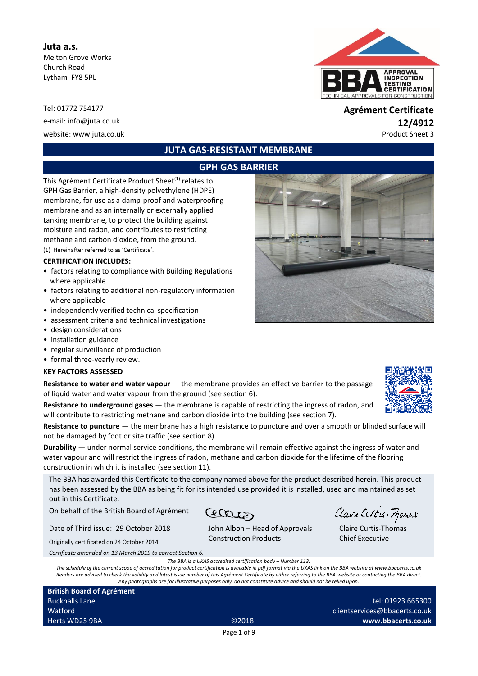#### **Juta a.s.**

Melton Grove Works Church Road Lytham FY8 5PL

Tel: 01772 754177 **Agrément Certificate**

# **JUTA GAS-RESISTANT MEMBRANE**

## **GPH GAS BARRIER**

This Agrément Certificate Product Sheet<sup>(1)</sup> relates to GPH Gas Barrier, a high-density polyethylene (HDPE) membrane, for use as a damp-proof and waterproofing membrane and as an internally or externally applied tanking membrane, to protect the building against moisture and radon, and contributes to restricting methane and carbon dioxide, from the ground.

(1) Hereinafter referred to as 'Certificate'.

#### **CERTIFICATION INCLUDES:**

- factors relating to compliance with Building Regulations where applicable
- factors relating to additional non-regulatory information where applicable
- independently verified technical specification
- assessment criteria and technical investigations
- design considerations
- installation guidance
- regular surveillance of production
- formal three-yearly review.

#### **KEY FACTORS ASSESSED**

**Resistance to water and water vapour** — the membrane provides an effective barrier to the passage of liquid water and water vapour from the ground (see section 6).

**Resistance to underground gases** — the membrane is capable of restricting the ingress of radon, and will contribute to restricting methane and carbon dioxide into the building (see section 7).

**Resistance to puncture** — the membrane has a high resistance to puncture and over a smooth or blinded surface will not be damaged by foot or site traffic (see section 8).

**Durability** — under normal service conditions, the membrane will remain effective against the ingress of water and water vapour and will restrict the ingress of radon, methane and carbon dioxide for the lifetime of the flooring construction in which it is installed (see section 11).

The BBA has awarded this Certificate to the company named above for the product described herein. This product has been assessed by the BBA as being fit for its intended use provided it is installed, used and maintained as set out in this Certificate.

On behalf of the British Board of Agrément

Date of Third issue: 29 October 2018

Originally certificated on 24 October 2014

*Certificate amended on 13 March 2019 to correct Section 6.*

*The BBA is a UKAS accredited certification body – Number 113.*

*The schedule of the current scope of accreditation for product certification is available in pdf format via the UKAS link on the BBA website at www.bbacerts.co.uk Readers are advised to check the validity and latest issue number of this Agrément Certificate by either referring to the BBA website or contacting the BBA direct. Any photographs are for illustrative purposes only, do not constitute advice and should not be relied upon.*

| <b>British Board of Agrément</b> |       |  |
|----------------------------------|-------|--|
| <b>Bucknalls Lane</b>            |       |  |
| Watford                          |       |  |
| Herts WD25 9BA                   | ©2018 |  |

# Construction Products

Cetter

Claire Curtis-Thomas Chief Executive

Claire Curtis-Frances



# e-mail[: info@juta.co.uk](mailto:info@juta.co.uk) **12/4912** website: www.juta.co.uk **Product Sheet 3**





John Albon – Head of Approvals

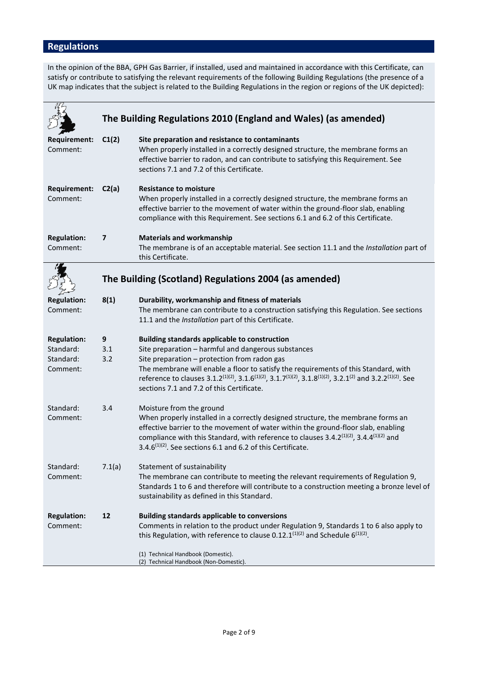# **Regulations**

In the opinion of the BBA, GPH Gas Barrier, if installed, used and maintained in accordance with this Certificate, can satisfy or contribute to satisfying the relevant requirements of the following Building Regulations (the presence of a UK map indicates that the subject is related to the Building Regulations in the region or regions of the UK depicted):

|                                                          |                 | The Building Regulations 2010 (England and Wales) (as amended)                                                                                                                                                                                                                                                                                                                                                                                                                         |
|----------------------------------------------------------|-----------------|----------------------------------------------------------------------------------------------------------------------------------------------------------------------------------------------------------------------------------------------------------------------------------------------------------------------------------------------------------------------------------------------------------------------------------------------------------------------------------------|
| <b>Requirement:</b><br>Comment:                          | C1(2)           | Site preparation and resistance to contaminants<br>When properly installed in a correctly designed structure, the membrane forms an<br>effective barrier to radon, and can contribute to satisfying this Requirement. See<br>sections 7.1 and 7.2 of this Certificate.                                                                                                                                                                                                                 |
| <b>Requirement:</b><br>Comment:                          | C2(a)           | <b>Resistance to moisture</b><br>When properly installed in a correctly designed structure, the membrane forms an<br>effective barrier to the movement of water within the ground-floor slab, enabling<br>compliance with this Requirement. See sections 6.1 and 6.2 of this Certificate.                                                                                                                                                                                              |
| <b>Regulation:</b><br>Comment:                           | $\overline{ }$  | <b>Materials and workmanship</b><br>The membrane is of an acceptable material. See section 11.1 and the Installation part of<br>this Certificate.                                                                                                                                                                                                                                                                                                                                      |
|                                                          |                 | The Building (Scotland) Regulations 2004 (as amended)                                                                                                                                                                                                                                                                                                                                                                                                                                  |
| <b>Regulation:</b><br>Comment:                           | 8(1)            | Durability, workmanship and fitness of materials<br>The membrane can contribute to a construction satisfying this Regulation. See sections<br>11.1 and the Installation part of this Certificate.                                                                                                                                                                                                                                                                                      |
| <b>Regulation:</b><br>Standard:<br>Standard:<br>Comment: | 9<br>3.1<br>3.2 | <b>Building standards applicable to construction</b><br>Site preparation - harmful and dangerous substances<br>Site preparation - protection from radon gas<br>The membrane will enable a floor to satisfy the requirements of this Standard, with<br>reference to clauses 3.1.2 <sup>(1)(2)</sup> , 3.1.6 <sup>(1)(2)</sup> , 3.1.7 <sup>(1)(2)</sup> , 3.1.8 <sup>(1)(2)</sup> , 3.2.1 <sup>(2)</sup> and 3.2.2 <sup>(1)(2)</sup> . See<br>sections 7.1 and 7.2 of this Certificate. |
| Standard:<br>Comment:                                    | 3.4             | Moisture from the ground<br>When properly installed in a correctly designed structure, the membrane forms an<br>effective barrier to the movement of water within the ground-floor slab, enabling<br>compliance with this Standard, with reference to clauses $3.4.2^{(1)(2)}$ , $3.4.4^{(1)(2)}$ and<br>3.4. $6^{(1)(2)}$ . See sections 6.1 and 6.2 of this Certificate.                                                                                                             |
| Standard:<br>Comment:                                    | 7.1(a)          | Statement of sustainability<br>The membrane can contribute to meeting the relevant requirements of Regulation 9,<br>Standards 1 to 6 and therefore will contribute to a construction meeting a bronze level of<br>sustainability as defined in this Standard.                                                                                                                                                                                                                          |
| <b>Regulation:</b><br>Comment:                           | 12              | <b>Building standards applicable to conversions</b><br>Comments in relation to the product under Regulation 9, Standards 1 to 6 also apply to<br>this Regulation, with reference to clause 0.12.1 <sup>(1)(2)</sup> and Schedule $6^{(1)(2)}$ .                                                                                                                                                                                                                                        |
|                                                          |                 | (1) Technical Handbook (Domestic).<br>(2) Technical Handbook (Non-Domestic).                                                                                                                                                                                                                                                                                                                                                                                                           |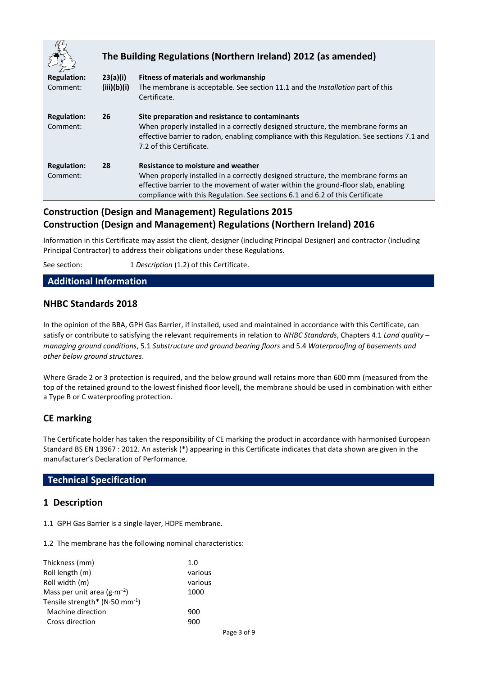|                                |             | The Building Regulations (Northern Ireland) 2012 (as amended)                                                                                                                                                                                                                                |
|--------------------------------|-------------|----------------------------------------------------------------------------------------------------------------------------------------------------------------------------------------------------------------------------------------------------------------------------------------------|
| <b>Regulation:</b>             | 23(a)(i)    | Fitness of materials and workmanship                                                                                                                                                                                                                                                         |
| Comment:                       | (iii)(b)(i) | The membrane is acceptable. See section 11.1 and the Installation part of this<br>Certificate.                                                                                                                                                                                               |
| <b>Regulation:</b><br>Comment: | 26          | Site preparation and resistance to contaminants<br>When properly installed in a correctly designed structure, the membrane forms an<br>effective barrier to radon, enabling compliance with this Regulation. See sections 7.1 and<br>7.2 of this Certificate.                                |
| <b>Regulation:</b><br>Comment: | 28          | Resistance to moisture and weather<br>When properly installed in a correctly designed structure, the membrane forms an<br>effective barrier to the movement of water within the ground-floor slab, enabling<br>compliance with this Regulation. See sections 6.1 and 6.2 of this Certificate |

# **Construction (Design and Management) Regulations 2015 Construction (Design and Management) Regulations (Northern Ireland) 2016**

Information in this Certificate may assist the client, designer (including Principal Designer) and contractor (including Principal Contractor) to address their obligations under these Regulations.

See section: 1 *Description* (1.2) of this Certificate.

## **Additional Information**

# **NHBC Standards 2018**

In the opinion of the BBA, GPH Gas Barrier, if installed, used and maintained in accordance with this Certificate, can satisfy or contribute to satisfying the relevant requirements in relation to *NHBC Standards*, Chapters 4.1 *Land quality – managing ground conditions*, 5.1 *Substructure and ground bearing floors* and 5.4 *Waterproofing of basements and other below ground structures*.

Where Grade 2 or 3 protection is required, and the below ground wall retains more than 600 mm (measured from the top of the retained ground to the lowest finished floor level), the membrane should be used in combination with either a Type B or C waterproofing protection.

# **CE marking**

The Certificate holder has taken the responsibility of CE marking the product in accordance with harmonised European Standard BS EN 13967 : 2012. An asterisk (\*) appearing in this Certificate indicates that data shown are given in the manufacturer's Declaration of Performance.

#### **Technical Specification**

## **1 Description**

1.1 GPH Gas Barrier is a single-layer, HDPE membrane.

1.2 The membrane has the following nominal characteristics:

| Thickness (mm)                             | 1.0     |
|--------------------------------------------|---------|
| Roll length (m)                            | various |
| Roll width (m)                             | various |
| Mass per unit area $(g \cdot m^{-2})$      | 1000    |
| Tensile strength* $(N.50 \text{ mm}^{-1})$ |         |
| Machine direction                          | 900     |
| Cross direction                            | 900     |
|                                            |         |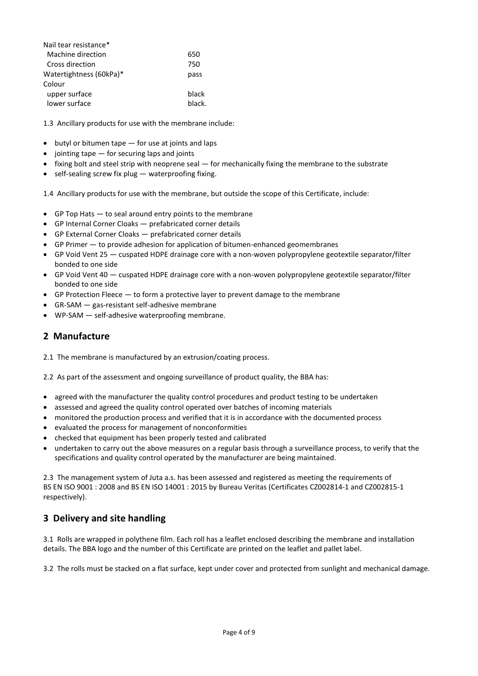| Nail tear resistance*   |       |
|-------------------------|-------|
| Machine direction       | 650   |
| Cross direction         | 750   |
| Watertightness (60kPa)* | pass  |
| Colour                  |       |
| upper surface           | black |
| lower surface           | hlack |

1.3 Ancillary products for use with the membrane include:

- $\bullet$  butyl or bitumen tape  $-$  for use at joints and laps
- $\bullet$  jointing tape  $-$  for securing laps and joints
- $\bullet$  fixing bolt and steel strip with neoprene seal  $-$  for mechanically fixing the membrane to the substrate
- $\bullet$  self-sealing screw fix plug waterproofing fixing.

1.4 Ancillary products for use with the membrane, but outside the scope of this Certificate, include:

- GP Top Hats to seal around entry points to the membrane
- GP Internal Corner Cloaks prefabricated corner details
- GP External Corner Cloaks prefabricated corner details
- GP Primer to provide adhesion for application of bitumen-enhanced geomembranes
- GP Void Vent 25 cuspated HDPE drainage core with a non-woven polypropylene geotextile separator/filter bonded to one side
- GP Void Vent 40 cuspated HDPE drainage core with a non-woven polypropylene geotextile separator/filter bonded to one side
- GP Protection Fleece to form a protective layer to prevent damage to the membrane
- GR-SAM gas-resistant self-adhesive membrane
- WP-SAM self-adhesive waterproofing membrane.

## **2 Manufacture**

2.1 The membrane is manufactured by an extrusion/coating process.

2.2 As part of the assessment and ongoing surveillance of product quality, the BBA has:

- agreed with the manufacturer the quality control procedures and product testing to be undertaken
- assessed and agreed the quality control operated over batches of incoming materials
- monitored the production process and verified that it is in accordance with the documented process
- evaluated the process for management of nonconformities
- checked that equipment has been properly tested and calibrated
- undertaken to carry out the above measures on a regular basis through a surveillance process, to verify that the specifications and quality control operated by the manufacturer are being maintained.

2.3 The management system of Juta a.s. has been assessed and registered as meeting the requirements of BS EN ISO 9001 : 2008 and BS EN ISO 14001 : 2015 by Bureau Veritas (Certificates CZ002814-1 and CZ002815-1 respectively).

# **3 Delivery and site handling**

3.1 Rolls are wrapped in polythene film. Each roll has a leaflet enclosed describing the membrane and installation details. The BBA logo and the number of this Certificate are printed on the leaflet and pallet label.

3.2 The rolls must be stacked on a flat surface, kept under cover and protected from sunlight and mechanical damage.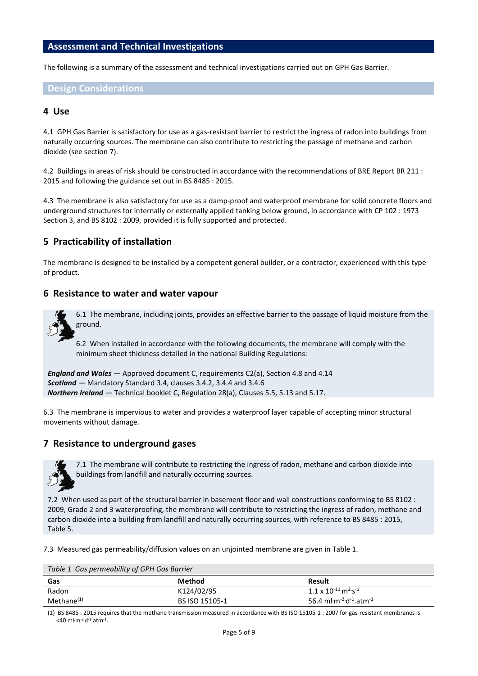#### **Assessment and Technical Investigations**

The following is a summary of the assessment and technical investigations carried out on GPH Gas Barrier.

#### **Design Considerations**

#### **4 Use**

4.1 GPH Gas Barrier is satisfactory for use as a gas-resistant barrier to restrict the ingress of radon into buildings from naturally occurring sources. The membrane can also contribute to restricting the passage of methane and carbon dioxide (see section 7).

4.2 Buildings in areas of risk should be constructed in accordance with the recommendations of BRE Report BR 211 : 2015 and following the guidance set out in BS 8485 : 2015.

4.3 The membrane is also satisfactory for use as a damp-proof and waterproof membrane for solid concrete floors and underground structures for internally or externally applied tanking below ground, in accordance with CP 102 : 1973 Section 3, and BS 8102 : 2009, provided it is fully supported and protected.

## **5 Practicability of installation**

The membrane is designed to be installed by a competent general builder, or a contractor, experienced with this type of product.

#### **6 Resistance to water and water vapour**



6.1 The membrane, including joints, provides an effective barrier to the passage of liquid moisture from the ground.

6.2 When installed in accordance with the following documents, the membrane will comply with the minimum sheet thickness detailed in the national Building Regulations:

```
England and Wales — Approved document C, requirements C2(a), Section 4.8 and 4.14
Scotland — Mandatory Standard 3.4, clauses 3.4.2, 3.4.4 and 3.4.6
Northern Ireland — Technical booklet C, Regulation 28(a), Clauses 5.5, 5.13 and 5.17.
```
6.3 The membrane is impervious to water and provides a waterproof layer capable of accepting minor structural movements without damage.

#### **7 Resistance to underground gases**



7.1 The membrane will contribute to restricting the ingress of radon, methane and carbon dioxide into buildings from landfill and naturally occurring sources.

7.2 When used as part of the structural barrier in basement floor and wall constructions conforming to BS 8102 : 2009, Grade 2 and 3 waterproofing, the membrane will contribute to restricting the ingress of radon, methane and carbon dioxide into a building from landfill and naturally occurring sources, with reference to BS 8485 : 2015, Table 5.

7.3 Measured gas permeability/diffusion values on an unjointed membrane are given in Table 1.

*Table 1 Gas permeability of GPH Gas Barrier*

| Gas                    | <b>Method</b>  | <b>Result</b>                                              |
|------------------------|----------------|------------------------------------------------------------|
| Radon                  | K124/02/95     | $1.1 \times 10^{-11}$ m <sup>2.</sup> s <sup>-1</sup>      |
| Methane <sup>(1)</sup> | BS ISO 15105-1 | 56.4 ml m <sup>-2-</sup> d <sup>-1</sup> atm <sup>-1</sup> |

(1) BS 8485 : 2015 requires that the methane transmission measured in accordance with BS ISO 15105-1 : 2007 for gas-resistant membranes is  $<$ 40 ml·m<sup>-2.</sup>d<sup>-1</sup>.atm<sup>-1</sup>.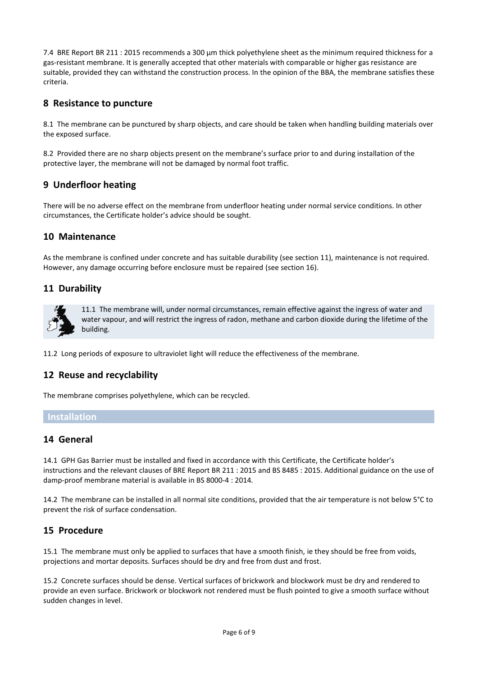7.4 BRE Report BR 211 : 2015 recommends a 300 µm thick polyethylene sheet as the minimum required thickness for a gas-resistant membrane. It is generally accepted that other materials with comparable or higher gas resistance are suitable, provided they can withstand the construction process. In the opinion of the BBA, the membrane satisfies these criteria.

## **8 Resistance to puncture**

8.1 The membrane can be punctured by sharp objects, and care should be taken when handling building materials over the exposed surface.

8.2 Provided there are no sharp objects present on the membrane's surface prior to and during installation of the protective layer, the membrane will not be damaged by normal foot traffic.

## **9 Underfloor heating**

There will be no adverse effect on the membrane from underfloor heating under normal service conditions. In other circumstances, the Certificate holder's advice should be sought.

## **10 Maintenance**

As the membrane is confined under concrete and has suitable durability (see section 11), maintenance is not required. However, any damage occurring before enclosure must be repaired (see section 16).

## **11 Durability**



11.1 The membrane will, under normal circumstances, remain effective against the ingress of water and water vapour, and will restrict the ingress of radon, methane and carbon dioxide during the lifetime of the building.

11.2 Long periods of exposure to ultraviolet light will reduce the effectiveness of the membrane.

## **12 Reuse and recyclability**

The membrane comprises polyethylene, which can be recycled.

## **Installation**

#### **14 General**

14.1 GPH Gas Barrier must be installed and fixed in accordance with this Certificate, the Certificate holder's instructions and the relevant clauses of BRE Report BR 211 : 2015 and BS 8485 : 2015. Additional guidance on the use of damp-proof membrane material is available in BS 8000-4 : 2014.

14.2 The membrane can be installed in all normal site conditions, provided that the air temperature is not below 5°C to prevent the risk of surface condensation.

# **15 Procedure**

15.1 The membrane must only be applied to surfaces that have a smooth finish, ie they should be free from voids, projections and mortar deposits. Surfaces should be dry and free from dust and frost.

15.2 Concrete surfaces should be dense. Vertical surfaces of brickwork and blockwork must be dry and rendered to provide an even surface. Brickwork or blockwork not rendered must be flush pointed to give a smooth surface without sudden changes in level.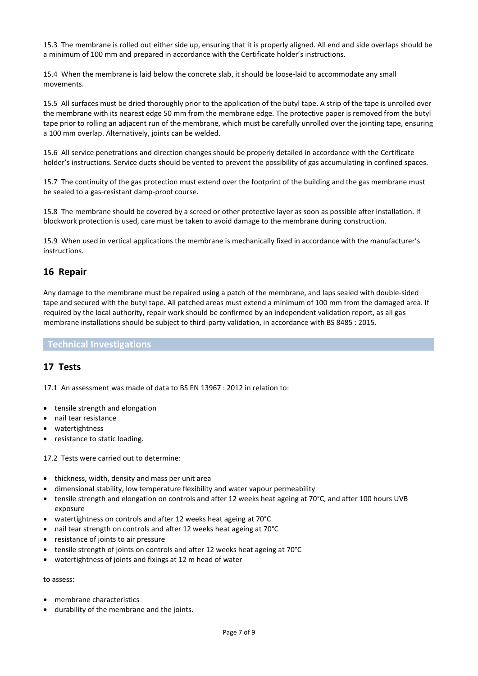15.3 The membrane is rolled out either side up, ensuring that it is properly aligned. All end and side overlaps should be a minimum of 100 mm and prepared in accordance with the Certificate holder's instructions.

15.4 When the membrane is laid below the concrete slab, it should be loose-laid to accommodate any small movements.

15.5 All surfaces must be dried thoroughly prior to the application of the butyl tape. A strip of the tape is unrolled over the membrane with its nearest edge 50 mm from the membrane edge. The protective paper is removed from the butyl tape prior to rolling an adjacent run of the membrane, which must be carefully unrolled over the jointing tape, ensuring a 100 mm overlap. Alternatively, joints can be welded.

15.6 All service penetrations and direction changes should be properly detailed in accordance with the Certificate holder's instructions. Service ducts should be vented to prevent the possibility of gas accumulating in confined spaces.

15.7 The continuity of the gas protection must extend over the footprint of the building and the gas membrane must be sealed to a gas-resistant damp-proof course.

15.8 The membrane should be covered by a screed or other protective layer as soon as possible after installation. If blockwork protection is used, care must be taken to avoid damage to the membrane during construction.

15.9 When used in vertical applications the membrane is mechanically fixed in accordance with the manufacturer's instructions.

## **16 Repair**

Any damage to the membrane must be repaired using a patch of the membrane, and laps sealed with double-sided tape and secured with the butyl tape. All patched areas must extend a minimum of 100 mm from the damaged area. If required by the local authority, repair work should be confirmed by an independent validation report, as all gas membrane installations should be subject to third-party validation, in accordance with BS 8485 : 2015.

#### **Technical Investigations**

# **17 Tests**

17.1 An assessment was made of data to BS EN 13967 : 2012 in relation to:

- tensile strength and elongation
- nail tear resistance
- watertightness
- resistance to static loading.

17.2 Tests were carried out to determine:

- thickness, width, density and mass per unit area
- dimensional stability, low temperature flexibility and water vapour permeability
- tensile strength and elongation on controls and after 12 weeks heat ageing at 70°C, and after 100 hours UVB exposure
- watertightness on controls and after 12 weeks heat ageing at 70°C
- nail tear strength on controls and after 12 weeks heat ageing at 70°C
- resistance of joints to air pressure
- tensile strength of joints on controls and after 12 weeks heat ageing at 70°C
- watertightness of joints and fixings at 12 m head of water

to assess:

- membrane characteristics
- durability of the membrane and the joints.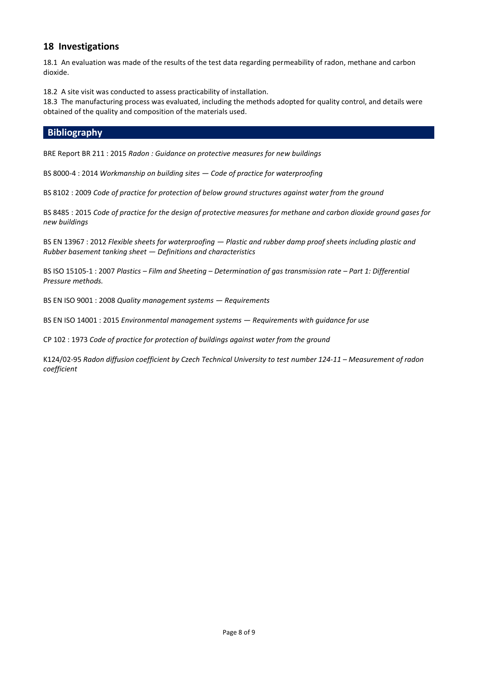# **18 Investigations**

18.1 An evaluation was made of the results of the test data regarding permeability of radon, methane and carbon dioxide.

18.2 A site visit was conducted to assess practicability of installation.

18.3 The manufacturing process was evaluated, including the methods adopted for quality control, and details were obtained of the quality and composition of the materials used.

## **Bibliography**

BRE Report BR 211 : 2015 *Radon : Guidance on protective measures for new buildings*

BS 8000-4 : 2014 *Workmanship on building sites — Code of practice for waterproofing*

BS 8102 : 2009 *Code of practice for protection of below ground structures against water from the ground*

BS 8485 : 2015 *Code of practice for the design of protective measures for methane and carbon dioxide ground gases for new buildings*

BS EN 13967 : 2012 *Flexible sheets for waterproofing — Plastic and rubber damp proof sheets including plastic and Rubber basement tanking sheet — Definitions and characteristics*

BS ISO 15105-1 : 2007 *Plastics – Film and Sheeting – Determination of gas transmission rate – Part 1: Differential Pressure methods.*

BS EN ISO 9001 : 2008 *Quality management systems — Requirements*

BS EN ISO 14001 : 2015 *Environmental management systems — Requirements with guidance for use*

CP 102 : 1973 *Code of practice for protection of buildings against water from the ground*

K124/02-95 Radon diffusion coefficient by Czech Technical University to test number 124-11 – Measurement of radon *coefficient*